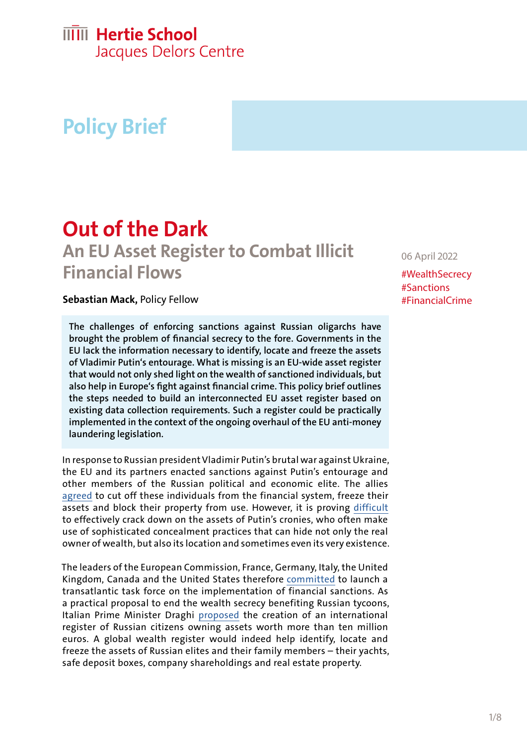## **IIIII** Hertie School

Jacques Delors Centre

# **Policy Brief**

# **Out of the Dark An EU Asset Register to Combat Illicit Financial Flows**

### **Sebastian Mack,** Policy Fellow

**The challenges of enforcing sanctions against Russian oligarchs have brought the problem of financial secrecy to the fore. Governments in the EU lack the information necessary to identify, locate and freeze the assets of Vladimir Putin's entourage. What is missing is an EU-wide asset register that would not only shed light on the wealth of sanctioned individuals, but also help in Europe's fight against financial crime. This policy brief outlines the steps needed to build an interconnected EU asset register based on existing data collection requirements. Such a register could be practically implemented in the context of the ongoing overhaul of the EU anti-money laundering legislation.**

In response to Russian president Vladimir Putin's brutal war against Ukraine, the EU and its partners enacted sanctions against Putin's entourage and other members of the Russian political and economic elite. The allies [agreed](https://www.whitehouse.gov/briefing-room/statements-releases/2022/03/03/fact-sheet-the-united-states-continues-to-target-russian-oligarchs-enabling-putins-war-of-choice/) to cut off these individuals from the financial system, freeze their assets and block their property from use. However, it is proving [difficult](https://qz.com/2136067/where-are-russias-oligarchs-hiding-their-wealth/)  to effectively crack down on the assets of Putin's cronies, who often make use of sophisticated concealment practices that can hide not only the real owner of wealth, but also its location and sometimes even its very existence.

The leaders of the European Commission, France, Germany, Italy, the United Kingdom, Canada and the United States therefore [committed](https://ec.europa.eu/commission/presscorner/detail/en/statement_22_1423) to launch a transatlantic task force on the implementation of financial sanctions. As a practical proposal to end the wealth secrecy benefiting Russian tycoons, Italian Prime Minister Draghi [proposed](https://www.swissinfo.ch/eng/italy-says-putin-s-nuclear-stance-demands-a-strong-response/47390840) the creation of an international register of Russian citizens owning assets worth more than ten million euros. A global wealth register would indeed help identify, locate and freeze the assets of Russian elites and their family members – their yachts, safe deposit boxes, company shareholdings and real estate property.

06 April 2022

#WealthSecrecy #Sanctions #FinancialCrime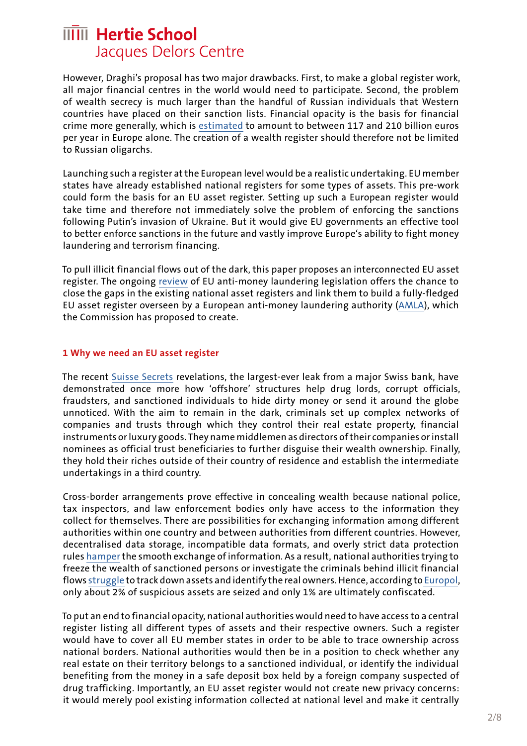However, Draghi's proposal has two major drawbacks. First, to make a global register work, all major financial centres in the world would need to participate. Second, the problem of wealth secrecy is much larger than the handful of Russian individuals that Western countries have placed on their sanction lists. Financial opacity is the basis for financial crime more generally, which is [estimate](https://eur-lex.europa.eu/legal-content/EN/TXT/?uri=CELEX:52021SC0190)d to amount to between 117 and 210 billion euros per year in Europe alone. The creation of a wealth register should therefore not be limited to Russian oligarchs.

Launching such a register at the European level would be a realistic undertaking. EU member states have already established national registers for some types of assets. This pre-work could form the basis for an EU asset register. Setting up such a European register would take time and therefore not immediately solve the problem of enforcing the sanctions following Putin's invasion of Ukraine. But it would give EU governments an effective tool to better enforce sanctions in the future and vastly improve Europe's ability to fight money laundering and terrorism financing.

To pull illicit financial flows out of the dark, this paper proposes an interconnected EU asset register. The ongoing [review](https://ec.europa.eu/info/publications/210720-anti-money-laundering-countering-financing-terrorism_en) of EU anti-money laundering legislation offers the chance to close the gaps in the existing national asset registers and link them to build a fully-fledged EU asset register overseen by a European anti-money laundering authority [\(AMLA](https://eur-lex.europa.eu/legal-content/EN/TXT/?uri=CELEX:52021PC0421)), which the Commission has proposed to create.

### **1 Why we need an EU asset register**

The recent [Suisse Secrets](https://www.occrp.org/en/suisse-secrets/) revelations, the largest-ever leak from a major Swiss bank, have demonstrated once more how 'offshore' structures help drug lords, corrupt officials, fraudsters, and sanctioned individuals to hide dirty money or send it around the globe unnoticed. With the aim to remain in the dark, criminals set up complex networks of companies and trusts through which they control their real estate property, financial instruments or luxury goods. They name middlemen as directors of their companies or install nominees as official trust beneficiaries to further disguise their wealth ownership. Finally, they hold their riches outside of their country of residence and establish the intermediate undertakings in a third country.

Cross-border arrangements prove effective in concealing wealth because national police, tax inspectors, and law enforcement bodies only have access to the information they collect for themselves. There are possibilities for exchanging information among different authorities within one country and between authorities from different countries. However, decentralised data storage, incompatible data formats, and overly strict data protection rules [hamper](http://ec.europa.eu/newsroom/document.cfm?doc_id=45318) the smooth exchange of information. As a result, national authorities trying to freeze the wealth of sanctioned persons or investigate the criminals behind illicit financial flows [struggle](https://www.bloomberg.com/news/articles/2022-03-02/billionaire-usmanov-s-superyacht-said-to-be-seized-in-germany) to track down assets and identify the real owners. Hence, according to [Europol,](https://eur-lex.europa.eu/legal-content/EN/TXT/?uri=CELEX:52021SC0190) only about 2% of suspicious assets are seized and only 1% are ultimately confiscated.

To put an end to financial opacity, national authorities would need to have access to a central register listing all different types of assets and their respective owners. Such a register would have to cover all EU member states in order to be able to trace ownership across national borders. National authorities would then be in a position to check whether any real estate on their territory belongs to a sanctioned individual, or identify the individual benefiting from the money in a safe deposit box held by a foreign company suspected of drug trafficking. Importantly, an EU asset register would not create new privacy concerns: it would merely pool existing information collected at national level and make it centrally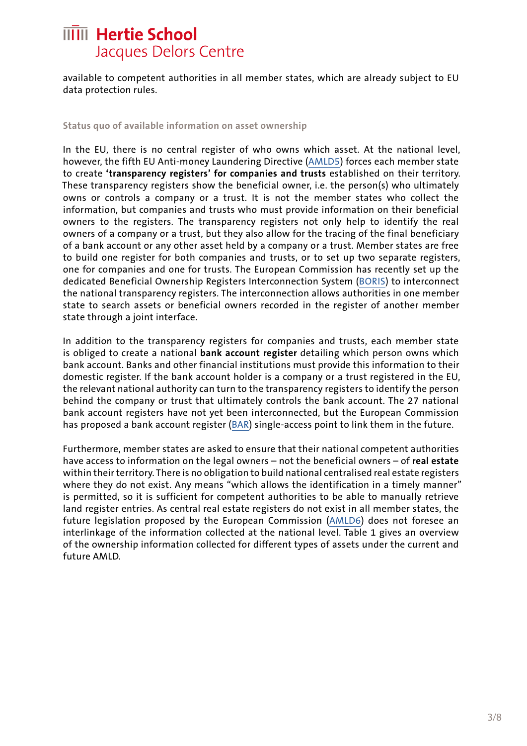available to competent authorities in all member states, which are already subject to EU data protection rules.

#### **Status quo of available information on asset ownership**

In the EU, there is no central register of who owns which asset. At the national level, however, the fifth EU Anti-money Laundering Directive ([AMLD5](https://eur-lex.europa.eu/legal-content/EN/TXT/?uri=CELEX:02015L0849-20180709)) forces each member state to create **'transparency registers' for companies and trusts** established on their territory. These transparency registers show the beneficial owner, i.e. the person(s) who ultimately owns or controls a company or a trust. It is not the member states who collect the information, but companies and trusts who must provide information on their beneficial owners to the registers. The transparency registers not only help to identify the real owners of a company or a trust, but they also allow for the tracing of the final beneficiary of a bank account or any other asset held by a company or a trust. Member states are free to build one register for both companies and trusts, or to set up two separate registers, one for companies and one for trusts. The European Commission has recently set up the dedicated Beneficial Ownership Registers Interconnection System ([BORIS\)](https://eur-lex.europa.eu/legal-content/EN/TXT/?uri=CELEX:32021R0369) to interconnect the national transparency registers. The interconnection allows authorities in one member state to search assets or beneficial owners recorded in the register of another member state through a joint interface.

In addition to the transparency registers for companies and trusts, each member state is obliged to create a national **bank account register** detailing which person owns which bank account. Banks and other financial institutions must provide this information to their domestic register. If the bank account holder is a company or a trust registered in the EU, the relevant national authority can turn to the transparency registers to identify the person behind the company or trust that ultimately controls the bank account. The 27 national bank account registers have not yet been interconnected, but the European Commission has proposed a bank account register ([BAR\)](https://eur-lex.europa.eu/legal-content/EN/TXT/PDF/?uri=CELEX:52021PC0429&from=EN) single-access point to link them in the future.

Furthermore, member states are asked to ensure that their national competent authorities have access to information on the legal owners – not the beneficial owners – of **real estate**  within their territory. There is no obligation to build national centralised real estate registers where they do not exist. Any means "which allows the identification in a timely manner" is permitted, so it is sufficient for competent authorities to be able to manually retrieve land register entries. As central real estate registers do not exist in all member states, the future legislation proposed by the European Commission ([AMLD6\)](https://eur-lex.europa.eu/legal-content/EN/TXT/?uri=CELEX%3A52021PC0423) does not foresee an interlinkage of the information collected at the national level. Table 1 gives an overview of the ownership information collected for different types of assets under the current and future AMLD.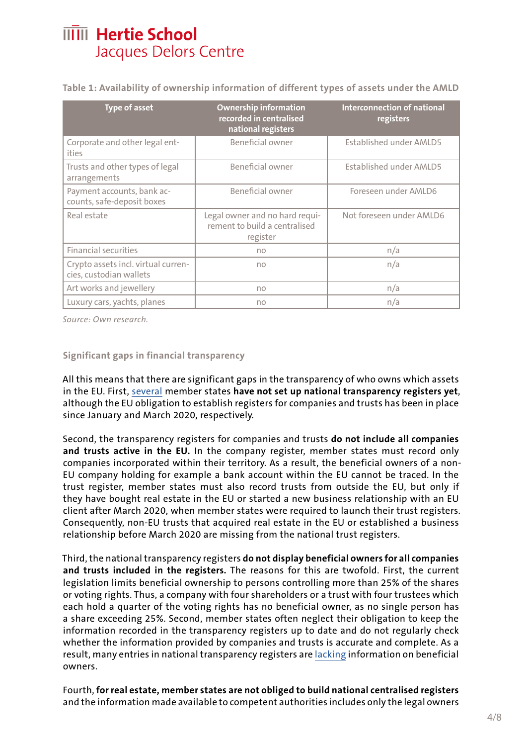**Table 1: Availability of ownership information of different types of assets under the AMLD**

| <b>Type of asset</b>                                           | <b>Ownership information</b><br>recorded in centralised<br>national registers | <b>Interconnection of national</b><br>registers |
|----------------------------------------------------------------|-------------------------------------------------------------------------------|-------------------------------------------------|
| Corporate and other legal ent-<br>ities                        | Beneficial owner                                                              | <b>Established under AMLD5</b>                  |
| Trusts and other types of legal<br>arrangements                | Beneficial owner                                                              | <b>Established under AMLD5</b>                  |
| Payment accounts, bank ac-<br>counts, safe-deposit boxes       | Beneficial owner                                                              | Foreseen under AMLD6                            |
| Real estate                                                    | Legal owner and no hard requi-<br>rement to build a centralised<br>register   | Not foreseen under AMLD6                        |
| <b>Financial securities</b>                                    | no                                                                            | n/a                                             |
| Crypto assets incl. virtual curren-<br>cies, custodian wallets | no                                                                            | n/a                                             |
| Art works and jewellery                                        | no                                                                            | n/a                                             |
| Luxury cars, yachts, planes                                    | no                                                                            | n/a                                             |

*Source: Own research.* 

### **Significant gaps in financial transparency**

All this means that there are significant gaps in the transparency of who owns which assets in the EU. First, [several](https://transparency.eu/eu-must-act-beneficial-ownership-registers/) member states **have not set up national transparency registers yet**, although the EU obligation to establish registers for companies and trusts has been in place since January and March 2020, respectively.

Second, the transparency registers for companies and trusts **do not include all companies and trusts active in the EU.** In the company register, member states must record only companies incorporated within their territory. As a result, the beneficial owners of a non-EU company holding for example a bank account within the EU cannot be traced. In the trust register, member states must also record trusts from outside the EU, but only if they have bought real estate in the EU or started a new business relationship with an EU client after March 2020, when member states were required to launch their trust registers. Consequently, non-EU trusts that acquired real estate in the EU or established a business relationship before March 2020 are missing from the national trust registers.

Third, the national transparency registers **do not display beneficial owners for all companies and trusts included in the registers.** The reasons for this are twofold. First, the current legislation limits beneficial ownership to persons controlling more than 25% of the shares or voting rights. Thus, a company with four shareholders or a trust with four trustees which each hold a quarter of the voting rights has no beneficial owner, as no single person has a share exceeding 25%. Second, member states often neglect their obligation to keep the information recorded in the transparency registers up to date and do not regularly check whether the information provided by companies and trusts is accurate and complete. As a result, many entries in national transparency registers are [lacking](https://www.internationaltaxreview.com/article/b1qgsdrgsnh0fx/openlux-shows-failures-of-beneficial-ownership-registers) information on beneficial owners.

Fourth, **for real estate, member states are not obliged to build national centralised registers** and the information made available to competent authorities includes only the legal owners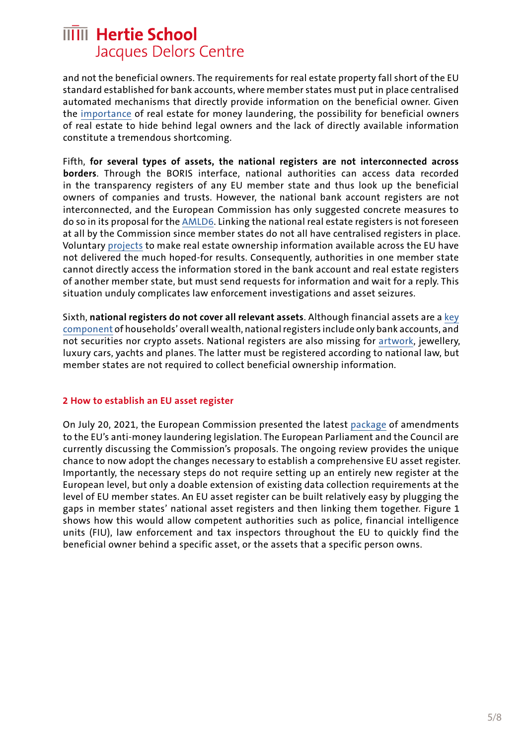and not the beneficial owners. The requirements for real estate property fall short of the EU standard established for bank accounts, where member states must put in place centralised automated mechanisms that directly provide information on the beneficial owner. Given the [importance](https://www.europarl.europa.eu/cmsdata/161094/7%20-%2001%20EPRS_Understanding%20money%20laundering%20through%20real%20estate%20transactions.pdf) of real estate for money laundering, the possibility for beneficial owners of real estate to hide behind legal owners and the lack of directly available information constitute a tremendous shortcoming.

Fifth, **for several types of assets, the national registers are not interconnected across borders**. Through the BORIS interface, national authorities can access data recorded in the transparency registers of any EU member state and thus look up the beneficial owners of companies and trusts. However, the national bank account registers are not interconnected, and the European Commission has only suggested concrete measures to do so in its proposal for the [AMLD6.](https://eur-lex.europa.eu/legal-content/EN/TXT/?uri=CELEX%3A52021PC0423) Linking the national real estate registers is not foreseen at all by the Commission since member states do not all have centralised registers in place. Voluntary [projects](https://e-justice.europa.eu/content_land_registers_at_european_level-108-en.do) to make real estate ownership information available across the EU have not delivered the much hoped-for results. Consequently, authorities in one member state cannot directly access the information stored in the bank account and real estate registers of another member state, but must send requests for information and wait for a reply. This situation unduly complicates law enforcement investigations and asset seizures.

Sixth, **national registers do not cover all relevant assets**. Although financial assets are a [key](https://data.oecd.org/hha/household-financial-assets.htm)  [component](https://data.oecd.org/hha/household-financial-assets.htm) of households' overall wealth, national registers include only bank accounts, and not securities nor crypto assets. National registers are also missing for [artwork](https://www.imf.org/external/pubs/ft/fandd/2019/09/the-art-of-money-laundering-and-washing-illicit-cash-mashberg.htm), jewellery, luxury cars, yachts and planes. The latter must be registered according to national law, but member states are not required to collect beneficial ownership information.

### **2 How to establish an EU asset register**

On July 20, 2021, the European Commission presented the latest [package](https://ec.europa.eu/info/business-economy-euro/banking-and-finance/financial-supervision-and-risk-management/anti-money-laundering-and-countering-financing-terrorism_en) of amendments to the EU's anti-money laundering legislation. The European Parliament and the Council are currently discussing the Commission's proposals. The ongoing review provides the unique chance to now adopt the changes necessary to establish a comprehensive EU asset register. Importantly, the necessary steps do not require setting up an entirely new register at the European level, but only a doable extension of existing data collection requirements at the level of EU member states. An EU asset register can be built relatively easy by plugging the gaps in member states' national asset registers and then linking them together. Figure 1 shows how this would allow competent authorities such as police, financial intelligence units (FIU), law enforcement and tax inspectors throughout the EU to quickly find the beneficial owner behind a specific asset, or the assets that a specific person owns.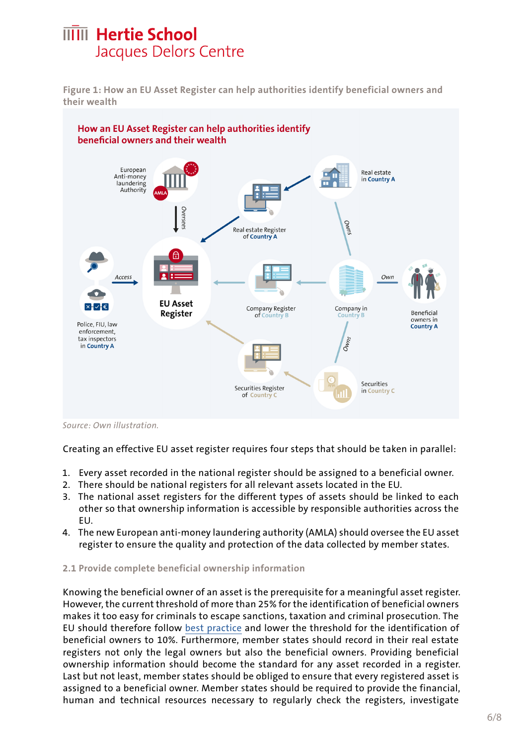**Figure 1: How an EU Asset Register can help authorities identify beneficial owners and their wealth**



*Source: Own illustration.* 

Creating an effective EU asset register requires four steps that should be taken in parallel:

- 1. Every asset recorded in the national register should be assigned to a beneficial owner.
- 2. There should be national registers for all relevant assets located in the EU.
- 3. The national asset registers for the different types of assets should be linked to each other so that ownership information is accessible by responsible authorities across the EU.
- 4. The new European anti-money laundering authority (AMLA) should oversee the EU asset register to ensure the quality and protection of the data collected by member states.

### **2.1 Provide complete beneficial ownership information**

Knowing the beneficial owner of an asset is the prerequisite for a meaningful asset register. However, the current threshold of more than 25% for the identification of beneficial owners makes it too easy for criminals to escape sanctions, taxation and criminal prosecution. The EU should therefore follow [best practice](https://www.oecd.org/tax/transparency/beneficial-ownership-toolkit.pdf) and lower the threshold for the identification of beneficial owners to 10%. Furthermore, member states should record in their real estate registers not only the legal owners but also the beneficial owners. Providing beneficial ownership information should become the standard for any asset recorded in a register. Last but not least, member states should be obliged to ensure that every registered asset is assigned to a beneficial owner. Member states should be required to provide the financial, human and technical resources necessary to regularly check the registers, investigate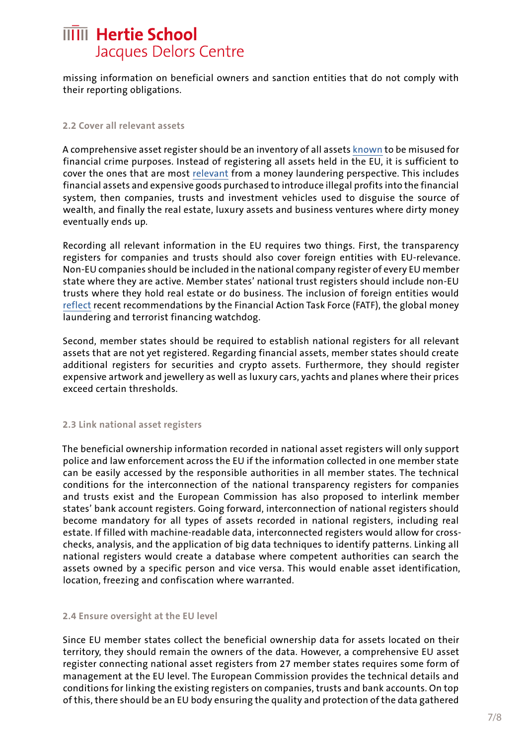missing information on beneficial owners and sanction entities that do not comply with their reporting obligations.

#### **2.2 Cover all relevant assets**

A comprehensive asset register should be an inventory of all assets [known](https://ec.europa.eu/info/sites/default/files/supranational_risk_assessment_of_the_money_laundering_and_terrorist_financing_risks_affecting_the_union.pdf) to be misused for financial crime purposes. Instead of registering all assets held in the EU, it is sufficient to cover the ones that are most [relevant](https://www.fatf-gafi.org/faq/moneylaundering/) from a money laundering perspective. This includes financial assets and expensive goods purchased to introduce illegal profits into the financial system, then companies, trusts and investment vehicles used to disguise the source of wealth, and finally the real estate, luxury assets and business ventures where dirty money eventually ends up.

Recording all relevant information in the EU requires two things. First, the transparency registers for companies and trusts should also cover foreign entities with EU-relevance. Non-EU companies should be included in the national company register of every EU member state where they are active. Member states' national trust registers should include non-EU trusts where they hold real estate or do business. The inclusion of foreign entities would [reflect](https://www.fatf-gafi.org/publications/fatfrecommendations/documents/r24-statement-march-2022.html) recent recommendations by the Financial Action Task Force (FATF), the global money laundering and terrorist financing watchdog.

Second, member states should be required to establish national registers for all relevant assets that are not yet registered. Regarding financial assets, member states should create additional registers for securities and crypto assets. Furthermore, they should register expensive artwork and jewellery as well as luxury cars, yachts and planes where their prices exceed certain thresholds.

### **2.3 Link national asset registers**

The beneficial ownership information recorded in national asset registers will only support police and law enforcement across the EU if the information collected in one member state can be easily accessed by the responsible authorities in all member states. The technical conditions for the interconnection of the national transparency registers for companies and trusts exist and the European Commission has also proposed to interlink member states' bank account registers. Going forward, interconnection of national registers should become mandatory for all types of assets recorded in national registers, including real estate. If filled with machine-readable data, interconnected registers would allow for crosschecks, analysis, and the application of big data techniques to identify patterns. Linking all national registers would create a database where competent authorities can search the assets owned by a specific person and vice versa. This would enable asset identification, location, freezing and confiscation where warranted.

#### **2.4 Ensure oversight at the EU level**

Since EU member states collect the beneficial ownership data for assets located on their territory, they should remain the owners of the data. However, a comprehensive EU asset register connecting national asset registers from 27 member states requires some form of management at the EU level. The European Commission provides the technical details and conditions for linking the existing registers on companies, trusts and bank accounts. On top of this, there should be an EU body ensuring the quality and protection of the data gathered